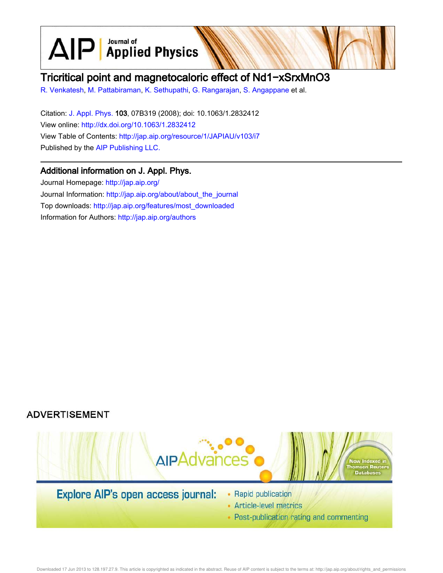$\text{AlP}$  Applied Physics

# Tricritical point and magnetocaloric effect of Nd1−xSrxMnO3

R. Venkatesh, M. Pattabiraman, K. Sethupathi, G. Rangarajan, S. Angappane et al.

Citation: J. Appl. Phys. 103, 07B319 (2008); doi: 10.1063/1.2832412 View online: http://dx.doi.org/10.1063/1.2832412 View Table of Contents: http://jap.aip.org/resource/1/JAPIAU/v103/i7 Published by the AIP Publishing LLC.

# Additional information on J. Appl. Phys.

Journal Homepage: http://jap.aip.org/ Journal Information: http://jap.aip.org/about/about\_the\_journal Top downloads: http://jap.aip.org/features/most\_downloaded Information for Authors: http://jap.aip.org/authors



Downloaded 17 Jun 2013 to 128.197.27.9. This article is copyrighted as indicated in the abstract. Reuse of AIP content is subject to the terms at: http://jap.aip.org/about/rights\_and\_permissions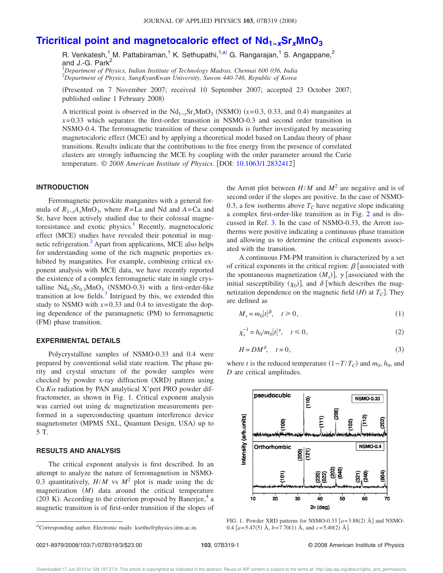# **Tricritical point and magnetocaloric effect of Nd1−xSrxMnO<sup>3</sup>**

R. Venkatesh,<sup>1</sup> M. Pattabiraman,<sup>1</sup> K. Sethupathi,<sup>1,a)</sup> G. Rangarajan,<sup>1</sup> S. Angappane,<sup>2</sup> and J.-G. Park $<sup>2</sup>$ </sup>

<sup>1</sup>*Department of Physics, Indian Institute of Technology Madras, Chennai 600 036, India* <sup>2</sup>*Department of Physics, SungKyunKwan University, Suwon 440-746, Republic of Korea*

Presented on 7 November 2007; received 10 September 2007; accepted 23 October 2007; published online 1 February 2008)

A tricritical point is observed in the  $Nd_{1-x}Sr_xMnO_3$  (NSMO) ( $x=0.3, 0.33$ , and 0.4) manganites at  $x=0.33$  which separates the first-order transition in NSMO-0.3 and second order transition in NSMO-0.4. The ferromagnetic transition of these compounds is further investigated by measuring magnetocaloric effect (MCE) and by applying a theoretical model based on Landau theory of phase transitions. Results indicate that the contributions to the free energy from the presence of correlated clusters are strongly influencing the MCE by coupling with the order parameter around the Curie temperature. © 2008 American Institute of Physics. [DOI: 10.1063/1.2832412]

## **INTRODUCTION**

Ferromagnetic perovskite manganites with a general formula of  $R_{1-x}A_xMnO_3$ , where  $R=La$  and Nd and  $A=Ca$  and Sr, have been actively studied due to their colossal magnetoresistance and exotic physics.<sup>1</sup> Recently, magnetocaloric effect (MCE) studies have revealed their potential in magnetic refrigeration.<sup>2</sup> Apart from applications, MCE also helps for understanding some of the rich magnetic properties exhibited by manganites. For example, combining critical exponent analysis with MCE data, we have recently reported the existence of a complex ferromagnetic state in single crystalline  $Nd_{0.7}Sr_{0.3}MnO_3$  (NSMO-0.3) with a first-order-like transition at low fields. $3$  Intrigued by this, we extended this study to NSMO with  $x=0.33$  and 0.4 to investigate the doping dependence of the paramagnetic (PM) to ferromagnetic (FM) phase transition.

#### **EXPERIMENTAL DETAILS**

Polycrystalline samples of NSMO-0.33 and 0.4 were prepared by conventional solid state reaction. The phase purity and crystal structure of the powder samples were checked by powder x-ray diffraction (XRD) pattern using Cu  $K\alpha$  radiation by PAN analytical X'pert PRO powder diffractometer, as shown in Fig. 1. Critical exponent analysis was carried out using dc magnetization measurements performed in a superconducting quantum interference device magnetometer (MPMS 5XL, Quantum Design, USA) up to 5 T.

### **RESULTS AND ANALYSIS**

The critical exponent analysis is first described. In an attempt to analyze the nature of ferromagnetism in NSMO-0.3 quantitatively,  $H/M$  vs  $M^2$  plot is made using the dc magnetization  $(M)$  data around the critical temperature (203 K). According to the criterion proposed by Banerjee, $4$  a magnetic transition is of first-order transition if the slopes of

the Arrott plot between  $H/M$  and  $M^2$  are negative and is of second order if the slopes are positive. In the case of NSMO-0.3, a few isotherms above  $T_c$  have negative slope indicating a complex first-order-like transition as in Fig. 2 and is discussed in Ref. 3. In the case of NSMO-0.33, the Arrott isotherms were positive indicating a continuous phase transition and allowing us to determine the critical exponents associated with the transition.

A continuous FM-PM transition is characterized by a set of critical exponents in the critical region:  $\beta$  [associated with the spontaneous magnetization  $(M<sub>s</sub>)$ ],  $\gamma$  [associated with the initial susceptibility  $(\chi_0)$ , and  $\delta$  [which describes the magnetization dependence on the magnetic field  $(H)$  at  $T_C$ . They are defined as

$$
M_s = m_0 |t|^{\beta}, \quad t \ge 0,
$$
\n<sup>(1)</sup>

$$
\chi_s^{-1} = h_0 / m_0 |t|^{\gamma}, \quad t \le 0,
$$
\n(2)

$$
H = DM^{\delta}, \quad t = 0,
$$
\n<sup>(3)</sup>

where *t* is the reduced temperature  $(1 - T/T_C)$  and  $m_0$ ,  $h_0$ , and *D* are critical amplitudes.



FIG. 1. Powder XRD patterns for NSMO-0.33  $[a=3.88(2)$   $\text{\AA}]$  and NSMO-0.4  $[a=5.47(5)$  Å,  $b=7.70(1)$  Å, and  $c=5.40(2)$  Å].

a)Corresponding author. Electronic mails: ksethu@physics.iitm.ac.in.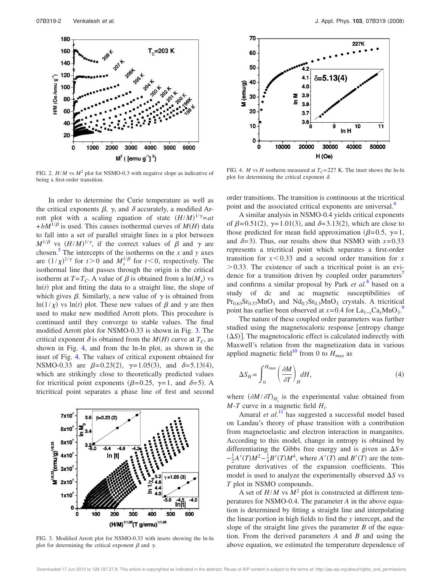

FIG. 2. *H*/*M* vs *M*<sup>2</sup> plot for NSMO-0.3 with negative slope as indicative of being a first-order transition.

In order to determine the Curie temperature as well as the critical exponents  $\beta$ ,  $\gamma$ , and  $\delta$  accurately, a modified Arrott plot with a scaling equation of state  $(H/M)^{1/\gamma} = at$  $+ bM^{1/\beta}$  is used. This causes isothermal curves of  $M(H)$  data to fall into a set of parallel straight lines in a plot between  $M^{1/\beta}$  vs  $(H/M)^{1/\gamma}$ , if the correct values of  $\beta$  and  $\gamma$  are chosen.<sup>5</sup> The intercepts of the isotherms on the  $x$  and  $y$  axes are  $(1/\chi)^{1/\gamma}$  for  $t>0$  and  $M_s^{1/\beta}$  for  $t<0$ , respectively. The isothermal line that passes through the origin is the critical isotherm at  $T = T_C$ . A value of  $\beta$  is obtained from a  $\ln(M_s)$  vs  $\ln(t)$  plot and fitting the data to a straight line, the slope of which gives  $\beta$ . Similarly, a new value of  $\gamma$  is obtained from  $ln(1/\chi)$  vs  $ln(t)$  plot. These new values of  $\beta$  and  $\gamma$  are then used to make new modified Arrott plots. This procedure is continued until they converge to stable values. The final modified Arrott plot for NSMO-0.33 is shown in Fig. 3. The critical exponent  $\delta$  is obtained from the  $M(H)$  curve at  $T_C$ , as shown in Fig. 4, and from the ln-ln plot, as shown in the inset of Fig. 4. The values of critical exponent obtained for NSMO-0.33 are  $\beta = 0.23(2)$ ,  $\gamma = 1.05(3)$ , and  $\delta = 5.13(4)$ , which are strikingly close to theoretically predicted values for tricritical point exponents ( $\beta = 0.25$ ,  $\gamma = 1$ , and  $\delta = 5$ ). A tricritical point separates a phase line of first and second



FIG. 3. Modified Arrott plot for NSMO-0.33 with insets showing the ln-ln plot for determining the critical exponent  $\beta$  and  $\gamma$ .



FIG. 4. *M* vs *H* isotherm measured at  $T_C = 227$  K. The inset shows the ln-ln plot for determining the critical exponent  $\delta$ .

order transitions. The transition is continuous at the tricritical point and the associated critical exponents are universal.<sup>6</sup>

A similar analysis in NSMO-0.4 yields critical exponents of  $\beta = 0.51(2)$ ,  $\gamma = 1.01(3)$ , and  $\delta = 3.13(2)$ , which are close to those predicted for mean field approximation ( $\beta$ =0.5,  $\gamma$ =1, and  $\delta = 3$ ). Thus, our results show that NSMO with  $x = 0.33$ represents a tricritical point which separates a first-order transition for  $x \leq 0.33$  and a second order transition for *x*  $> 0.33$ . The existence of such a tricritical point is an evidence for a transition driven by coupled order parameters<sup>7</sup> and confirms a similar proposal by Park *et al.*<sup>8</sup> based on a study of dc and ac magnetic susceptibilities of  $Pr_{0.63}Sr_{0.37}MnO_3$  and  $Nd_{0.7}Sr_{0.3}MnO_3$  crystals. A tricritical point has earlier been observed at  $x = 0.4$  for La<sub>1−*x*</sub>Ca<sub>*x*</sub>MnO<sub>3</sub>.<sup>9</sup>

The nature of these coupled order parameters was further studied using the magnetocaloric response [entropy change  $(\Delta S)$ ]. The magnetocaloric effect is calculated indirectly with Maxwell's relation from the magnetization data in various applied magnetic field<sup>10</sup> from 0 to  $H_{\text{max}}$  as

$$
\Delta S_H = \int_0^{H_{\text{max}}} \left(\frac{\partial M}{\partial T}\right)_H dH,\tag{4}
$$

where  $(\partial M/\partial T)_{H_i}$  is the experimental value obtained from *M*-*T* curve in a magnetic field *H<sup>i</sup>* .

Amaral *et al.*<sup>11</sup> has suggested a successful model based on Landau's theory of phase transition with a contribution from magnetoelastic and electron interaction in manganites. According to this model, change in entropy is obtained by differentiating the Gibbs free energy and is given as  $\Delta S$ =  $-\frac{1}{2}A'(T)M^2 - \frac{1}{4}B'(T)M^4$ , where  $A'(T)$  and  $B'(T)$  are the temperature derivatives of the expansion coefficients. This model is used to analyze the experimentally observed  $\Delta S$  vs *T* plot in NSMO compounds.

A set of  $H/M$  vs  $M^2$  plot is constructed at different temperatures for NSMO-0.4. The parameter *A* in the above equation is determined by fitting a straight line and interpolating the linear portion in high fields to find the *y* intercept, and the slope of the straight line gives the parameter *B* of the equation. From the derived parameters *A* and *B* and using the above equation, we estimated the temperature dependence of

Downloaded 17 Jun 2013 to 128.197.27.9. This article is copyrighted as indicated in the abstract. Reuse of AIP content is subject to the terms at: http://jap.aip.org/about/rights\_and\_permissions